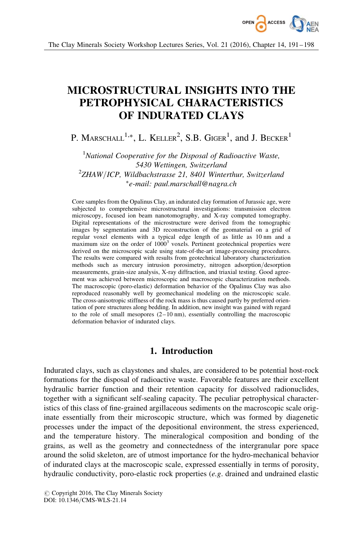

# MICROSTRUCTURAL INSIGHTS INTO THE PETROPHYSICAL CHARACTERISTICS OF INDURATED CLAYS

P. MARSCHALL<sup>1,\*</sup>, L. KELLER<sup>2</sup>, S.B. GIGER<sup>1</sup>, and J. Becker<sup>1</sup>

 $<sup>1</sup>$ National Cooperative for the Disposal of Radioactive Waste,</sup> 5430 Wettingen, Switzerland 2 ZHAW/ICP, Wildbachstrasse 21, 8401 Winterthur, Switzerland -e-mail: paul.marschall@nagra.ch

Core samples from the Opalinus Clay, an indurated clay formation of Jurassic age, were subjected to comprehensive microstructural investigations: transmission electron microscopy, focused ion beam nanotomography, and X-ray computed tomography. Digital representations of the microstructure were derived from the tomographic images by segmentation and 3D reconstruction of the geomaterial on a grid of regular voxel elements with a typical edge length of as little as 10 nm and a maximum size on the order of  $1000<sup>3</sup>$  voxels. Pertinent geotechnical properties were derived on the microscopic scale using state-of-the-art image-processing procedures. The results were compared with results from geotechnical laboratory characterization methods such as mercury intrusion porosimetry, nitrogen adsorption/desorption measurements, grain-size analysis, X-ray diffraction, and triaxial testing. Good agreement was achieved between microscopic and macroscopic characterization methods. The macroscopic (poro-elastic) deformation behavior of the Opalinus Clay was also reproduced reasonably well by geomechanical modeling on the microscopic scale. The cross-anisotropic stiffness of the rock mass is thus caused partly by preferred orientation of pore structures along bedding. In addition, new insight was gained with regard to the role of small mesopores  $(2-10 \text{ nm})$ , essentially controlling the macroscopic deformation behavior of indurated clays.

# 1. Introduction

Indurated clays, such as claystones and shales, are considered to be potential host-rock formations for the disposal of radioactive waste. Favorable features are their excellent hydraulic barrier function and their retention capacity for dissolved radionuclides, together with a significant self-sealing capacity. The peculiar petrophysical characteristics of this class of fine-grained argillaceous sediments on the macroscopic scale originate essentially from their microscopic structure, which was formed by diagenetic processes under the impact of the depositional environment, the stress experienced, and the temperature history. The mineralogical composition and bonding of the grains, as well as the geometry and connectedness of the intergranular pore space around the solid skeleton, are of utmost importance for the hydro-mechanical behavior of indurated clays at the macroscopic scale, expressed essentially in terms of porosity, hydraulic conductivity, poro-elastic rock properties (e.g. drained and undrained elastic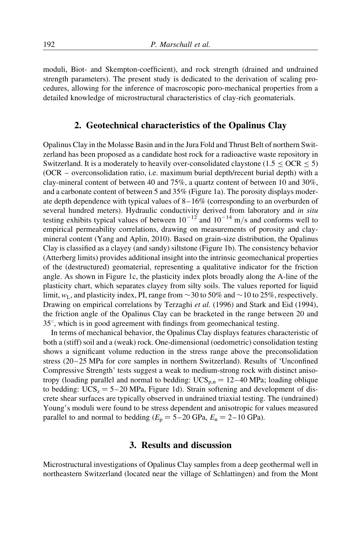moduli, Biot- and Skempton-coefficient), and rock strength (drained and undrained strength parameters). The present study is dedicated to the derivation of scaling procedures, allowing for the inference of macroscopic poro-mechanical properties from a detailed knowledge of microstructural characteristics of clay-rich geomaterials.

## 2. Geotechnical characteristics of the Opalinus Clay

Opalinus Clay in the Molasse Basin and in the Jura Fold and Thrust Belt of northern Switzerland has been proposed as a candidate host rock for a radioactive waste repository in Switzerland. It is a moderately to heavily over-consolidated claystone (1.5  $\leq$  OCR  $\leq$  5) (OCR – overconsolidation ratio, i.e. maximum burial depth/recent burial depth) with a clay-mineral content of between 40 and 75%, a quartz content of between 10 and 30%, and a carbonate content of between 5 and 35% (Figure 1a). The porosity displays moderate depth dependence with typical values of  $8-16\%$  (corresponding to an overburden of several hundred meters). Hydraulic conductivity derived from laboratory and in situ testing exhibits typical values of between  $10^{-12}$  and  $10^{-14}$  m/s and conforms well to empirical permeability correlations, drawing on measurements of porosity and claymineral content (Yang and Aplin, 2010). Based on grain-size distribution, the Opalinus Clay is classified as a clayey (and sandy) siltstone (Figure 1b). The consistency behavior (Atterberg limits) provides additional insight into the intrinsic geomechanical properties of the (destructured) geomaterial, representing a qualitative indicator for the friction angle. As shown in Figure 1c, the plasticity index plots broadly along the A-line of the plasticity chart, which separates clayey from silty soils. The values reported for liquid limit,  $w_L$ , and plasticity index, PI, range from  $\sim$  30 to 50% and  $\sim$  10 to 25%, respectively. Drawing on empirical correlations by Terzaghi et al. (1996) and Stark and Eid (1994), the friction angle of the Opalinus Clay can be bracketed in the range between 20 and  $35^{\circ}$ , which is in good agreement with findings from geomechanical testing.

In terms of mechanical behavior, the Opalinus Clay displays features characteristic of both a (stiff) soil and a (weak) rock. One-dimensional (oedometric) consolidation testing shows a significant volume reduction in the stress range above the preconsolidation stress (20–25 MPa for core samples in northern Switzerland). Results of 'Unconfined Compressive Strength' tests suggest a weak to medium-strong rock with distinct anisotropy (loading parallel and normal to bedding:  $UCS_{p,n} = 12-40$  MPa; loading oblique to bedding:  $UCS_z = 5-20$  MPa, Figure 1d). Strain softening and development of discrete shear surfaces are typically observed in undrained triaxial testing. The (undrained) Young's moduli were found to be stress dependent and anisotropic for values measured parallel to and normal to bedding  $(E_p = 5-20 \text{ GPa}, E_n = 2-10 \text{ GPa}).$ 

## 3. Results and discussion

Microstructural investigations of Opalinus Clay samples from a deep geothermal well in northeastern Switzerland (located near the village of Schlattingen) and from the Mont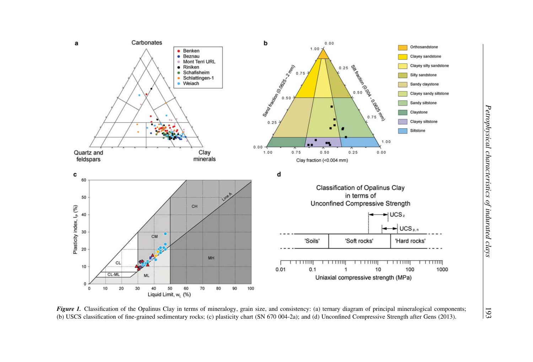

Figure 1. Classification of the Opalinus Clay in terms of mineralogy, grain size, and consistency: (a) ternary diagram of principal mineralogical components; (b) USCS classification of fine-grained sedimentary rocks; (c) plasticity chart (SN 670 004-2a); and (d) Unconfined Compressive Strength after Gens (2013).

193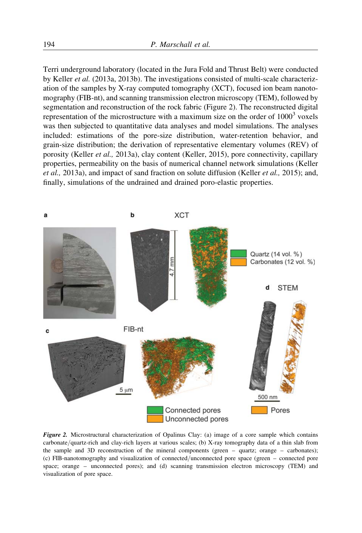Terri underground laboratory (located in the Jura Fold and Thrust Belt) were conducted by Keller et al. (2013a, 2013b). The investigations consisted of multi-scale characterization of the samples by X-ray computed tomography (XCT), focused ion beam nanotomography (FIB-nt), and scanning transmission electron microscopy (TEM), followed by segmentation and reconstruction of the rock fabric (Figure 2). The reconstructed digital representation of the microstructure with a maximum size on the order of  $1000<sup>3</sup>$  voxels was then subjected to quantitative data analyses and model simulations. The analyses included: estimations of the pore-size distribution, water-retention behavior, and grain-size distribution; the derivation of representative elementary volumes (REV) of porosity (Keller et al., 2013a), clay content (Keller, 2015), pore connectivity, capillary properties, permeability on the basis of numerical channel network simulations (Keller et al., 2013a), and impact of sand fraction on solute diffusion (Keller et al., 2015); and, finally, simulations of the undrained and drained poro-elastic properties.



Figure 2. Microstructural characterization of Opalinus Clay: (a) image of a core sample which contains carbonate/quartz-rich and clay-rich layers at various scales; (b) X-ray tomography data of a thin slab from the sample and 3D reconstruction of the mineral components (green – quartz; orange – carbonates); (c) FIB-nanotomography and visualization of connected/unconnected pore space (green – connected pore space; orange – unconnected pores); and (d) scanning transmission electron microscopy (TEM) and visualization of pore space.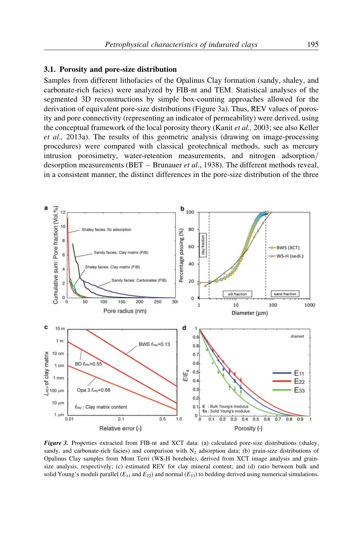#### 3.1. Porosity and pore-size distribution

Samples from different lithofacies of the Opalinus Clay formation (sandy, shaley, and carbonate-rich facies) were analyzed by FIB-nt and TEM. Statistical analyses of the segmented 3D reconstructions by simple box-counting approaches allowed for the derivation of equivalent pore-size distributions (Figure 3a). Thus, REV values of porosity and pore connectivity (representing an indicator of permeability) were derived, using the conceptual framework of the local porosity theory (Kanit *et al.*, 2003; see also Keller et al., 2013a). The results of this geometric analysis (drawing on image-processing procedures) were compared with classical geotechnical methods, such as mercury intrusion porosimetry, water-retention measurements, and nitrogen adsorption/ desorption measurements (BET – Brunauer et al., 1938). The different methods reveal, in a consistent manner, the distinct differences in the pore-size distribution of the three



Figure 3. Properties extracted from FIB-nt and XCT data: (a) calculated pore-size distributions (shaley, sandy, and carbonate-rich facies) and comparison with  $N_2$  adsorption data; (b) grain-size distributions of Opalinus Clay samples from Mont Terri (WS-H borehole), derived from XCT image analysis and grainsize analysis, respectively; (c) estimated REV for clay mineral content; and (d) ratio between bulk and solid Young's moduli parallel ( $E_{11}$  and  $E_{22}$ ) and normal ( $E_{33}$ ) to bedding derived using numerical simulations.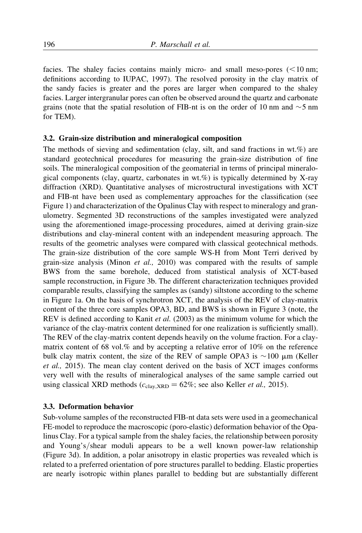facies. The shaley facies contains mainly micro- and small meso-pores  $(< 10 \text{ nm};$ definitions according to IUPAC, 1997). The resolved porosity in the clay matrix of the sandy facies is greater and the pores are larger when compared to the shaley facies. Larger intergranular pores can often be observed around the quartz and carbonate grains (note that the spatial resolution of FIB-nt is on the order of 10 nm and  $\sim$  5 nm for TEM).

#### 3.2. Grain-size distribution and mineralogical composition

The methods of sieving and sedimentation (clay, silt, and sand fractions in wt.%) are standard geotechnical procedures for measuring the grain-size distribution of fine soils. The mineralogical composition of the geomaterial in terms of principal mineralogical components (clay, quartz, carbonates in  $wt.\%$ ) is typically determined by X-ray diffraction (XRD). Quantitative analyses of microstructural investigations with XCT and FIB-nt have been used as complementary approaches for the classification (see Figure 1) and characterization of the Opalinus Clay with respect to mineralogy and granulometry. Segmented 3D reconstructions of the samples investigated were analyzed using the aforementioned image-processing procedures, aimed at deriving grain-size distributions and clay-mineral content with an independent measuring approach. The results of the geometric analyses were compared with classical geotechnical methods. The grain-size distribution of the core sample WS-H from Mont Terri derived by grain-size analysis (Minon *et al.*, 2010) was compared with the results of sample BWS from the same borehole, deduced from statistical analysis of XCT-based sample reconstruction, in Figure 3b. The different characterization techniques provided comparable results, classifying the samples as (sandy) siltstone according to the scheme in Figure 1a. On the basis of synchrotron XCT, the analysis of the REV of clay-matrix content of the three core samples OPA3, BD, and BWS is shown in Figure 3 (note, the REV is defined according to Kanit et al. (2003) as the minimum volume for which the variance of the clay-matrix content determined for one realization is sufficiently small). The REV of the clay-matrix content depends heavily on the volume fraction. For a claymatrix content of 68 vol.% and by accepting a relative error of 10% on the reference bulk clay matrix content, the size of the REV of sample OPA3 is  $\sim$  100  $\mu$ m (Keller et al., 2015). The mean clay content derived on the basis of XCT images conforms very well with the results of mineralogical analyses of the same sample carried out using classical XRD methods ( $c_{\text{clav,XRD}} = 62\%$ ; see also Keller *et al.*, 2015).

#### 3.3. Deformation behavior

Sub-volume samples of the reconstructed FIB-nt data sets were used in a geomechanical FE-model to reproduce the macroscopic (poro-elastic) deformation behavior of the Opalinus Clay. For a typical sample from the shaley facies, the relationship between porosity and Young's/shear moduli appears to be a well known power-law relationship (Figure 3d). In addition, a polar anisotropy in elastic properties was revealed which is related to a preferred orientation of pore structures parallel to bedding. Elastic properties are nearly isotropic within planes parallel to bedding but are substantially different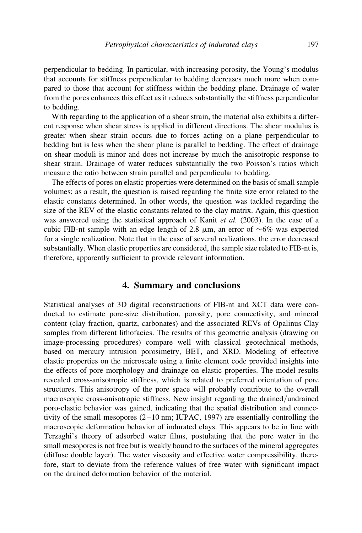perpendicular to bedding. In particular, with increasing porosity, the Young's modulus that accounts for stiffness perpendicular to bedding decreases much more when compared to those that account for stiffness within the bedding plane. Drainage of water from the pores enhances this effect as it reduces substantially the stiffness perpendicular to bedding.

With regarding to the application of a shear strain, the material also exhibits a different response when shear stress is applied in different directions. The shear modulus is greater when shear strain occurs due to forces acting on a plane perpendicular to bedding but is less when the shear plane is parallel to bedding. The effect of drainage on shear moduli is minor and does not increase by much the anisotropic response to shear strain. Drainage of water reduces substantially the two Poisson's ratios which measure the ratio between strain parallel and perpendicular to bedding.

The effects of pores on elastic properties were determined on the basis of small sample volumes; as a result, the question is raised regarding the finite size error related to the elastic constants determined. In other words, the question was tackled regarding the size of the REV of the elastic constants related to the clay matrix. Again, this question was answered using the statistical approach of Kanit *et al.* (2003). In the case of a cubic FIB-nt sample with an edge length of 2.8  $\mu$ m, an error of  $\sim 6\%$  was expected for a single realization. Note that in the case of several realizations, the error decreased substantially. When elastic properties are considered, the sample size related to FIB-nt is, therefore, apparently sufficient to provide relevant information.

### 4. Summary and conclusions

Statistical analyses of 3D digital reconstructions of FIB-nt and XCT data were conducted to estimate pore-size distribution, porosity, pore connectivity, and mineral content (clay fraction, quartz, carbonates) and the associated REVs of Opalinus Clay samples from different lithofacies. The results of this geometric analysis (drawing on image-processing procedures) compare well with classical geotechnical methods, based on mercury intrusion porosimetry, BET, and XRD. Modeling of effective elastic properties on the microscale using a finite element code provided insights into the effects of pore morphology and drainage on elastic properties. The model results revealed cross-anisotropic stiffness, which is related to preferred orientation of pore structures. This anisotropy of the pore space will probably contribute to the overall macroscopic cross-anisotropic stiffness. New insight regarding the drained/undrained poro-elastic behavior was gained, indicating that the spatial distribution and connectivity of the small mesopores (2–10 nm; IUPAC, 1997) are essentially controlling the macroscopic deformation behavior of indurated clays. This appears to be in line with Terzaghi's theory of adsorbed water films, postulating that the pore water in the small mesopores is not free but is weakly bound to the surfaces of the mineral aggregates (diffuse double layer). The water viscosity and effective water compressibility, therefore, start to deviate from the reference values of free water with significant impact on the drained deformation behavior of the material.